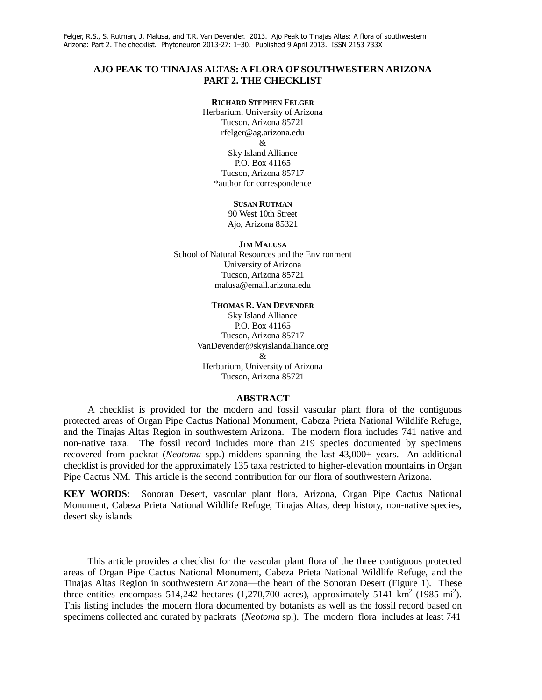### **AJO PEAK TO TINAJAS ALTAS: A FLORA OF SOUTHWESTERN ARIZONA PART 2. THE CHECKLIST**

#### **RICHARD STEPHEN FELGER**

Herbarium, University of Arizona Tucson, Arizona 85721 rfelger@ag.arizona.edu & Sky Island Alliance P.O. Box 41165 Tucson, Arizona 85717 \*author for correspondence

#### **SUSAN RUTMAN**

90 West 10th Street Ajo, Arizona 85321

#### **JIM MALUSA**

School of Natural Resources and the Environment University of Arizona Tucson, Arizona 85721 malusa@email.arizona.edu

#### **THOMAS R. VAN DEVENDER**

Sky Island Alliance P.O. Box 41165 Tucson, Arizona 85717 VanDevender@skyislandalliance.org & Herbarium, University of Arizona Tucson, Arizona 85721

#### **ABSTRACT**

 A checklist is provided for the modern and fossil vascular plant flora of the contiguous protected areas of Organ Pipe Cactus National Monument, Cabeza Prieta National Wildlife Refuge, and the Tinajas Altas Region in southwestern Arizona. The modern flora includes 741 native and non-native taxa. The fossil record includes more than 219 species documented by specimens recovered from packrat (*Neotoma* spp.) middens spanning the last 43,000+ years. An additional checklist is provided for the approximately 135 taxa restricted to higher-elevation mountains in Organ Pipe Cactus NM. This article is the second contribution for our flora of southwestern Arizona.

**KEY WORDS**: Sonoran Desert, vascular plant flora, Arizona, Organ Pipe Cactus National Monument, Cabeza Prieta National Wildlife Refuge, Tinajas Altas, deep history, non-native species, desert sky islands

 This article provides a checklist for the vascular plant flora of the three contiguous protected areas of Organ Pipe Cactus National Monument, Cabeza Prieta National Wildlife Refuge, and the Tinajas Altas Region in southwestern Arizona—the heart of the Sonoran Desert (Figure 1). These three entities encompass 514,242 hectares  $(1,270,700$  acres), approximately 5141 km<sup>2</sup> (1985 mi<sup>2</sup>). This listing includes the modern flora documented by botanists as well as the fossil record based on specimens collected and curated by packrats (*Neotoma* sp.). The modern flora includes at least 741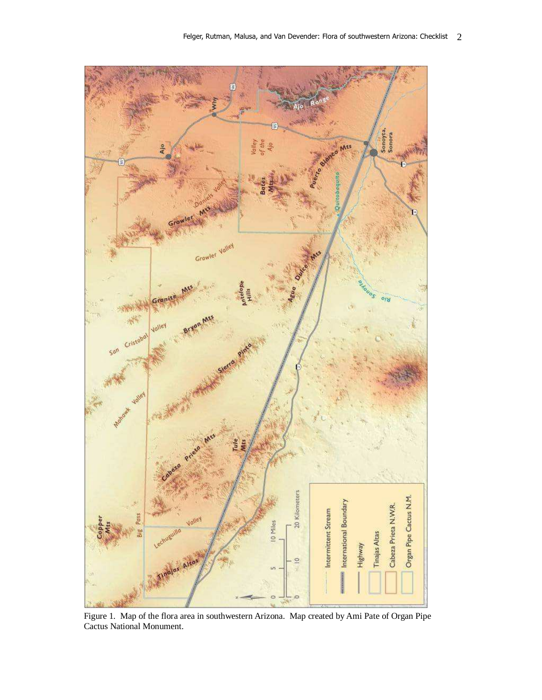

 Figure 1. Map of the flora area in southwestern Arizona. Map created by Ami Pate of Organ Pipe Cactus National Monument.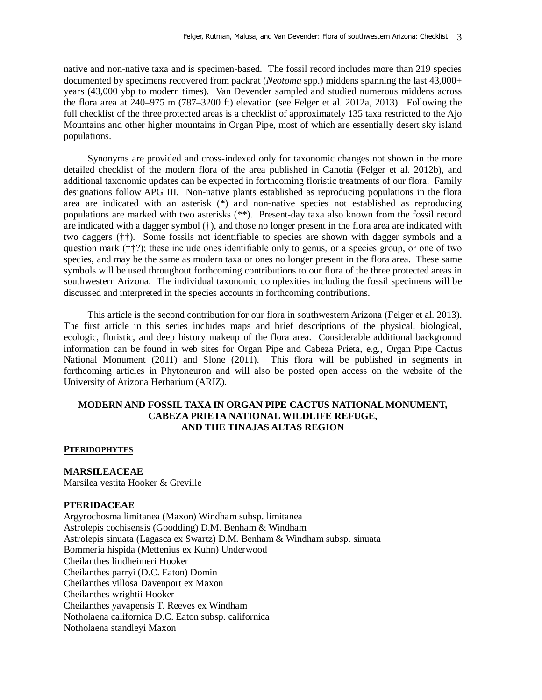native and non-native taxa and is specimen-based. The fossil record includes more than 219 species documented by specimens recovered from packrat (*Neotoma* spp.) middens spanning the last 43,000+ years (43,000 ybp to modern times). Van Devender sampled and studied numerous middens across the flora area at 240–975 m (787–3200 ft) elevation (see Felger et al. 2012a, 2013). Following the full checklist of the three protected areas is a checklist of approximately 135 taxa restricted to the Ajo Mountains and other higher mountains in Organ Pipe, most of which are essentially desert sky island populations.

 Synonyms are provided and cross-indexed only for taxonomic changes not shown in the more detailed checklist of the modern flora of the area published in Canotia (Felger et al. 2012b), and additional taxonomic updates can be expected in forthcoming floristic treatments of our flora. Family designations follow APG III. Non-native plants established as reproducing populations in the flora area are indicated with an asterisk (\*) and non-native species not established as reproducing populations are marked with two asterisks (\*\*). Present-day taxa also known from the fossil record are indicated with a dagger symbol  $(†)$ , and those no longer present in the flora area are indicated with two daggers (††). Some fossils not identifiable to species are shown with dagger symbols and a question mark (††?); these include ones identifiable only to genus, or a species group, or one of two species, and may be the same as modern taxa or ones no longer present in the flora area. These same symbols will be used throughout forthcoming contributions to our flora of the three protected areas in southwestern Arizona. The individual taxonomic complexities including the fossil specimens will be discussed and interpreted in the species accounts in forthcoming contributions.

 This article is the second contribution for our flora in southwestern Arizona (Felger et al. 2013). The first article in this series includes maps and brief descriptions of the physical, biological, ecologic, floristic, and deep history makeup of the flora area. Considerable additional background information can be found in web sites for Organ Pipe and Cabeza Prieta, e.g., Organ Pipe Cactus National Monument (2011) and Slone (2011). This flora will be published in segments in forthcoming articles in Phytoneuron and will also be posted open access on the website of the University of Arizona Herbarium (ARIZ).

## **MODERN AND FOSSIL TAXA IN ORGAN PIPE CACTUS NATIONAL MONUMENT, CABEZA PRIETA NATIONAL WILDLIFE REFUGE, AND THE TINAJAS ALTAS REGION**

#### **PTERIDOPHYTES**

### **MARSILEACEAE**

Marsilea vestita Hooker & Greville

## **PTERIDACEAE**

Argyrochosma limitanea (Maxon) Windham subsp. limitanea Astrolepis cochisensis (Goodding) D.M. Benham & Windham Astrolepis sinuata (Lagasca ex Swartz) D.M. Benham & Windham subsp. sinuata Bommeria hispida (Mettenius ex Kuhn) Underwood Cheilanthes lindheimeri Hooker Cheilanthes parryi (D.C. Eaton) Domin Cheilanthes villosa Davenport ex Maxon Cheilanthes wrightii Hooker Cheilanthes yavapensis T. Reeves ex Windham Notholaena californica D.C. Eaton subsp. californica Notholaena standleyi Maxon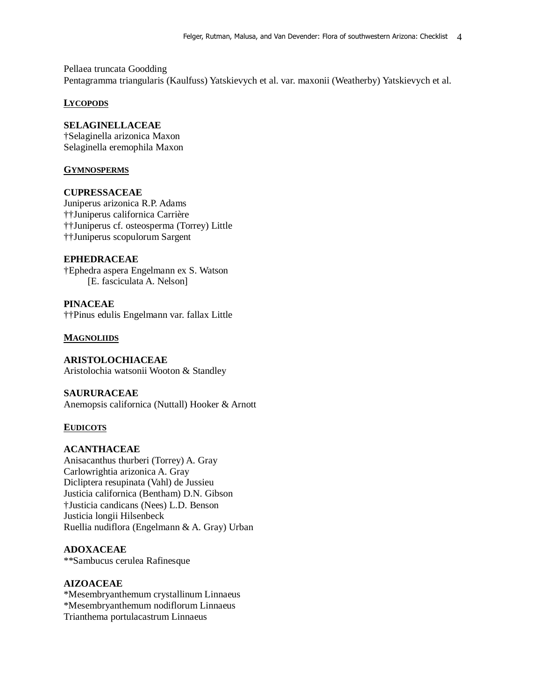Pellaea truncata Goodding Pentagramma triangularis (Kaulfuss) Yatskievych et al. var. maxonii (Weatherby) Yatskievych et al.

## **LYCOPODS**

## **SELAGINELLACEAE**

†Selaginella arizonica Maxon Selaginella eremophila Maxon

## **GYMNOSPERMS**

## **CUPRESSACEAE**

Juniperus arizonica R.P. Adams ††Juniperus californica Carrière ††Juniperus cf. osteosperma (Torrey) Little ††Juniperus scopulorum Sargent

## **EPHEDRACEAE**

†Ephedra aspera Engelmann ex S. Watson [E. fasciculata A. Nelson]

**PINACEAE** ††Pinus edulis Engelmann var. fallax Little

## **MAGNOLIIDS**

**ARISTOLOCHIACEAE**  Aristolochia watsonii Wooton & Standley

**SAURURACEAE**  Anemopsis californica (Nuttall) Hooker & Arnott

## **EUDICOTS**

### **ACANTHACEAE**

Anisacanthus thurberi (Torrey) A. Gray Carlowrightia arizonica A. Gray Dicliptera resupinata (Vahl) de Jussieu Justicia californica (Bentham) D.N. Gibson †Justicia candicans (Nees) L.D. Benson Justicia longii Hilsenbeck Ruellia nudiflora (Engelmann & A. Gray) Urban

## **ADOXACEAE**

\*\*Sambucus cerulea Rafinesque

## **AIZOACEAE**

\*Mesembryanthemum crystallinum Linnaeus \*Mesembryanthemum nodiflorum Linnaeus Trianthema portulacastrum Linnaeus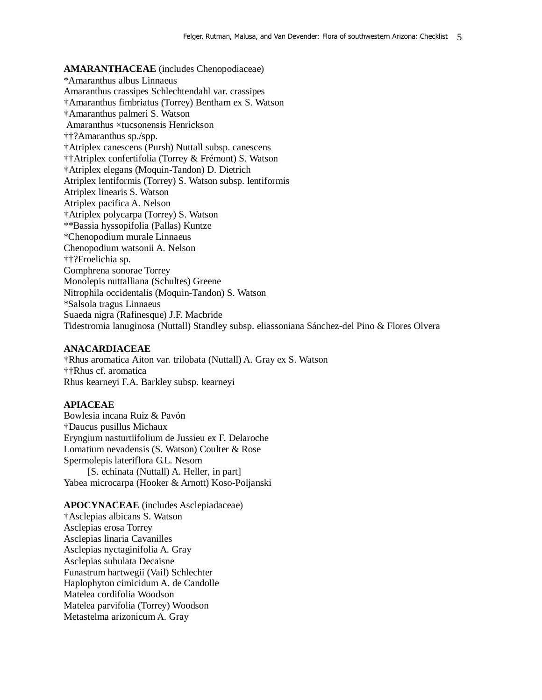**AMARANTHACEAE** (includes Chenopodiaceae) \*Amaranthus albus Linnaeus Amaranthus crassipes Schlechtendahl var. crassipes †Amaranthus fimbriatus (Torrey) Bentham ex S. Watson †Amaranthus palmeri S. Watson Amaranthus ×tucsonensis Henrickson ††?Amaranthus sp./spp. †Atriplex canescens (Pursh) Nuttall subsp. canescens ††Atriplex confertifolia (Torrey & Frémont) S. Watson †Atriplex elegans (Moquin-Tandon) D. Dietrich Atriplex lentiformis (Torrey) S. Watson subsp. lentiformis Atriplex linearis S. Watson Atriplex pacifica A. Nelson †Atriplex polycarpa (Torrey) S. Watson \*\*Bassia hyssopifolia (Pallas) Kuntze \*Chenopodium murale Linnaeus Chenopodium watsonii A. Nelson ††?Froelichia sp. Gomphrena sonorae Torrey Monolepis nuttalliana (Schultes) Greene Nitrophila occidentalis (Moquin-Tandon) S. Watson \*Salsola tragus Linnaeus Suaeda nigra (Rafinesque) J.F. Macbride Tidestromia lanuginosa (Nuttall) Standley subsp. eliassoniana Sánchez-del Pino & Flores Olvera

### **ANACARDIACEAE**

†Rhus aromatica Aiton var. trilobata (Nuttall) A. Gray ex S. Watson ††Rhus cf. aromatica Rhus kearneyi F.A. Barkley subsp. kearneyi

## **APIACEAE**

Bowlesia incana Ruiz & Pavón †Daucus pusillus Michaux Eryngium nasturtiifolium de Jussieu ex F. Delaroche Lomatium nevadensis (S. Watson) Coulter & Rose Spermolepis lateriflora G.L. Nesom [S. echinata (Nuttall) A. Heller, in part] Yabea microcarpa (Hooker & Arnott) Koso-Poljanski

# **APOCYNACEAE** (includes Asclepiadaceae)

†Asclepias albicans S. Watson Asclepias erosa Torrey Asclepias linaria Cavanilles Asclepias nyctaginifolia A. Gray Asclepias subulata Decaisne Funastrum hartwegii (Vail) Schlechter Haplophyton cimicidum A. de Candolle Matelea cordifolia Woodson Matelea parvifolia (Torrey) Woodson Metastelma arizonicum A. Gray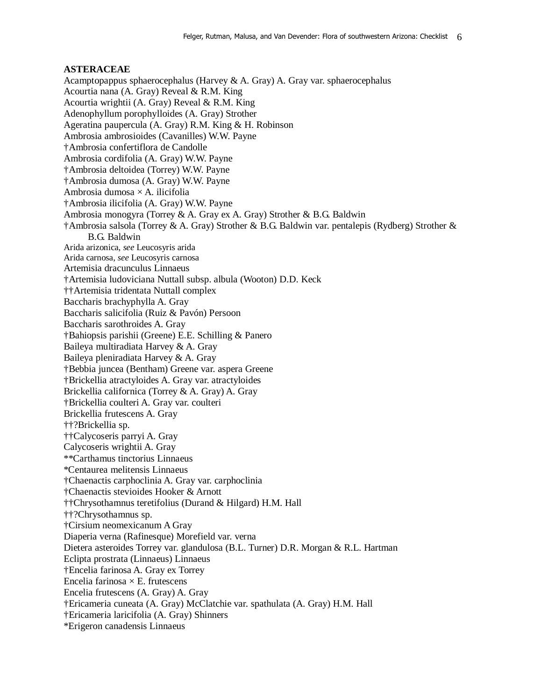#### **ASTERACEAE**

Acamptopappus sphaerocephalus (Harvey & A. Gray) A. Gray var. sphaerocephalus Acourtia nana (A. Gray) Reveal & R.M. King Acourtia wrightii (A. Gray) Reveal & R.M. King Adenophyllum porophylloides (A. Gray) Strother Ageratina paupercula (A. Gray) R.M. King & H. Robinson Ambrosia ambrosioides (Cavanilles) W.W. Payne †Ambrosia confertiflora de Candolle Ambrosia cordifolia (A. Gray) W.W. Payne †Ambrosia deltoidea (Torrey) W.W. Payne †Ambrosia dumosa (A. Gray) W.W. Payne Ambrosia dumosa  $\times$  A. ilicifolia †Ambrosia ilicifolia (A. Gray) W.W. Payne Ambrosia monogyra (Torrey & A. Gray ex A. Gray) Strother & B.G. Baldwin †Ambrosia salsola (Torrey & A. Gray) Strother & B.G. Baldwin var. pentalepis (Rydberg) Strother & B.G. Baldwin Arida arizonica, *see* Leucosyris arida Arida carnosa, *see* Leucosyris carnosa Artemisia dracunculus Linnaeus †Artemisia ludoviciana Nuttall subsp. albula (Wooton) D.D. Keck ††Artemisia tridentata Nuttall complex Baccharis brachyphylla A. Gray Baccharis salicifolia (Ruiz & Pavón) Persoon Baccharis sarothroides A. Gray †Bahiopsis parishii (Greene) E.E. Schilling & Panero Baileya multiradiata Harvey & A. Gray Baileya pleniradiata Harvey & A. Gray †Bebbia juncea (Bentham) Greene var. aspera Greene †Brickellia atractyloides A. Gray var. atractyloides Brickellia californica (Torrey & A. Gray) A. Gray †Brickellia coulteri A. Gray var. coulteri Brickellia frutescens A. Gray ††?Brickellia sp. ††Calycoseris parryi A. Gray Calycoseris wrightii A. Gray \*\*Carthamus tinctorius Linnaeus \*Centaurea melitensis Linnaeus †Chaenactis carphoclinia A. Gray var. carphoclinia †Chaenactis stevioides Hooker & Arnott ††Chrysothamnus teretifolius (Durand & Hilgard) H.M. Hall ††?Chrysothamnus sp. †Cirsium neomexicanum A Gray Diaperia verna (Rafinesque) Morefield var. verna Dietera asteroides Torrey var. glandulosa (B.L. Turner) D.R. Morgan & R.L. Hartman Eclipta prostrata (Linnaeus) Linnaeus †Encelia farinosa A. Gray ex Torrey Encelia farinosa  $\times$  E. frutescens Encelia frutescens (A. Gray) A. Gray †Ericameria cuneata (A. Gray) McClatchie var. spathulata (A. Gray) H.M. Hall †Ericameria laricifolia (A. Gray) Shinners \*Erigeron canadensis Linnaeus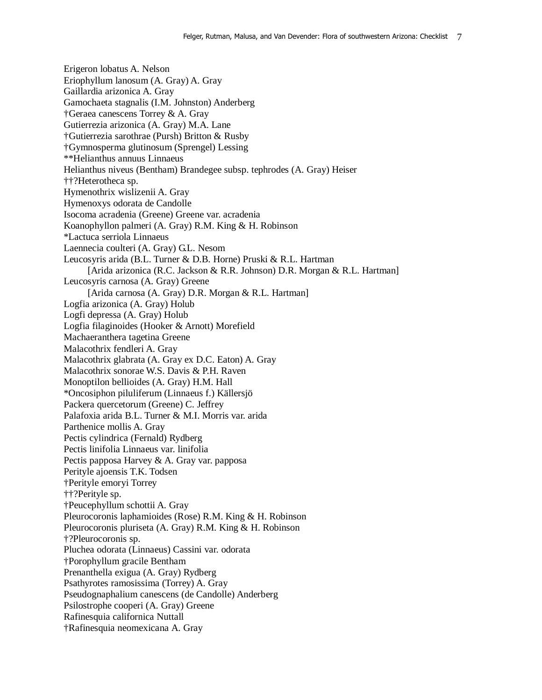Erigeron lobatus A. Nelson Eriophyllum lanosum (A. Gray) A. Gray Gaillardia arizonica A. Gray Gamochaeta stagnalis (I.M. Johnston) Anderberg †Geraea canescens Torrey & A. Gray Gutierrezia arizonica (A. Gray) M.A. Lane †Gutierrezia sarothrae (Pursh) Britton & Rusby †Gymnosperma glutinosum (Sprengel) Lessing \*\*Helianthus annuus Linnaeus Helianthus niveus (Bentham) Brandegee subsp. tephrodes (A. Gray) Heiser ††?Heterotheca sp. Hymenothrix wislizenii A. Gray Hymenoxys odorata de Candolle Isocoma acradenia (Greene) Greene var. acradenia Koanophyllon palmeri (A. Gray) R.M. King & H. Robinson \*Lactuca serriola Linnaeus Laennecia coulteri (A. Gray) G.L. Nesom Leucosyris arida (B.L. Turner & D.B. Horne) Pruski & R.L. Hartman [Arida arizonica (R.C. Jackson & R.R. Johnson) D.R. Morgan & R.L. Hartman] Leucosyris carnosa (A. Gray) Greene [Arida carnosa (A. Gray) D.R. Morgan & R.L. Hartman] Logfia arizonica (A. Gray) Holub Logfi depressa (A. Gray) Holub Logfia filaginoides (Hooker & Arnott) Morefield Machaeranthera tagetina Greene Malacothrix fendleri A. Gray Malacothrix glabrata (A. Gray ex D.C. Eaton) A. Gray Malacothrix sonorae W.S. Davis & P.H. Raven Monoptilon bellioides (A. Gray) H.M. Hall \*Oncosiphon piluliferum (Linnaeus f.) Källersjö Packera quercetorum (Greene) C. Jeffrey Palafoxia arida B.L. Turner & M.I. Morris var. arida Parthenice mollis A. Gray Pectis cylindrica (Fernald) Rydberg Pectis linifolia Linnaeus var. linifolia Pectis papposa Harvey & A. Gray var. papposa Perityle ajoensis T.K. Todsen †Perityle emoryi Torrey ††?Perityle sp. †Peucephyllum schottii A. Gray Pleurocoronis laphamioides (Rose) R.M. King & H. Robinson Pleurocoronis pluriseta (A. Gray) R.M. King & H. Robinson †?Pleurocoronis sp. Pluchea odorata (Linnaeus) Cassini var. odorata †Porophyllum gracile Bentham Prenanthella exigua (A. Gray) Rydberg Psathyrotes ramosissima (Torrey) A. Gray Pseudognaphalium canescens (de Candolle) Anderberg Psilostrophe cooperi (A. Gray) Greene Rafinesquia californica Nuttall †Rafinesquia neomexicana A. Gray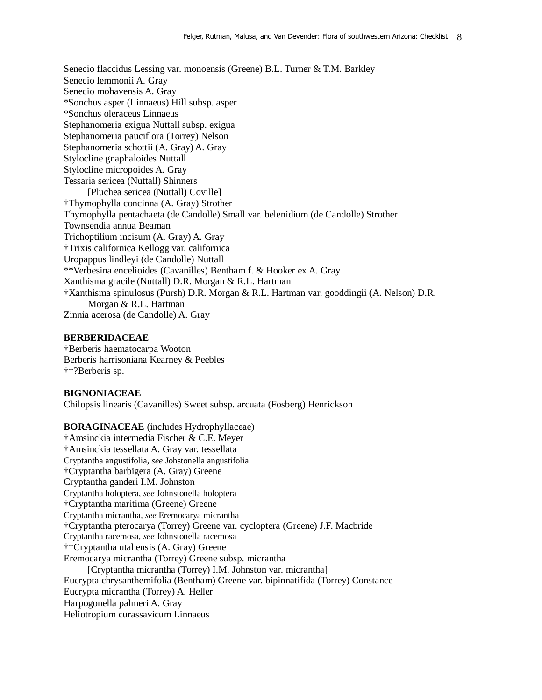Senecio flaccidus Lessing var. monoensis (Greene) B.L. Turner & T.M. Barkley Senecio lemmonii A. Gray Senecio mohavensis A. Gray \*Sonchus asper (Linnaeus) Hill subsp. asper \*Sonchus oleraceus Linnaeus Stephanomeria exigua Nuttall subsp. exigua Stephanomeria pauciflora (Torrey) Nelson Stephanomeria schottii (A. Gray) A. Gray Stylocline gnaphaloides Nuttall Stylocline micropoides A. Gray Tessaria sericea (Nuttall) Shinners [Pluchea sericea (Nuttall) Coville] †Thymophylla concinna (A. Gray) Strother Thymophylla pentachaeta (de Candolle) Small var. belenidium (de Candolle) Strother Townsendia annua Beaman Trichoptilium incisum (A. Gray) A. Gray †Trixis californica Kellogg var. californica Uropappus lindleyi (de Candolle) Nuttall \*\*Verbesina encelioides (Cavanilles) Bentham f. & Hooker ex A. Gray Xanthisma gracile (Nuttall) D.R. Morgan & R.L. Hartman †Xanthisma spinulosus (Pursh) D.R. Morgan & R.L. Hartman var. gooddingii (A. Nelson) D.R. Morgan & R.L. Hartman Zinnia acerosa (de Candolle) A. Gray

### **BERBERIDACEAE**

†Berberis haematocarpa Wooton Berberis harrisoniana Kearney & Peebles ††?Berberis sp.

### **BIGNONIACEAE**

Chilopsis linearis (Cavanilles) Sweet subsp. arcuata (Fosberg) Henrickson

**BORAGINACEAE** (includes Hydrophyllaceae) †Amsinckia intermedia Fischer & C.E. Meyer †Amsinckia tessellata A. Gray var. tessellata Cryptantha angustifolia, *see* Johstonella angustifolia †Cryptantha barbigera (A. Gray) Greene Cryptantha ganderi I.M. Johnston Cryptantha holoptera, *see* Johnstonella holoptera †Cryptantha maritima (Greene) Greene Cryptantha micrantha, *see* Eremocarya micrantha †Cryptantha pterocarya (Torrey) Greene var. cycloptera (Greene) J.F. Macbride Cryptantha racemosa, *see* Johnstonella racemosa ††Cryptantha utahensis (A. Gray) Greene Eremocarya micrantha (Torrey) Greene subsp. micrantha [Cryptantha micrantha (Torrey) I.M. Johnston var. micrantha] Eucrypta chrysanthemifolia (Bentham) Greene var. bipinnatifida (Torrey) Constance Eucrypta micrantha (Torrey) A. Heller Harpogonella palmeri A. Gray Heliotropium curassavicum Linnaeus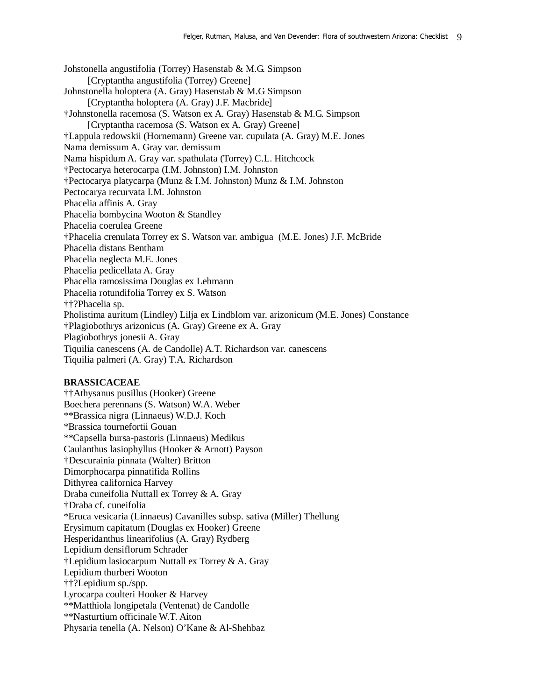Johstonella angustifolia (Torrey) Hasenstab & M.G. Simpson [Cryptantha angustifolia (Torrey) Greene] Johnstonella holoptera (A. Gray) Hasenstab & M.G Simpson [Cryptantha holoptera (A. Gray) J.F. Macbride] †Johnstonella racemosa (S. Watson ex A. Gray) Hasenstab & M.G. Simpson [Cryptantha racemosa (S. Watson ex A. Gray) Greene] †Lappula redowskii (Hornemann) Greene var. cupulata (A. Gray) M.E. Jones Nama demissum A. Gray var. demissum Nama hispidum A. Gray var. spathulata (Torrey) C.L. Hitchcock †Pectocarya heterocarpa (I.M. Johnston) I.M. Johnston †Pectocarya platycarpa (Munz & I.M. Johnston) Munz & I.M. Johnston Pectocarya recurvata I.M. Johnston Phacelia affinis A. Gray Phacelia bombycina Wooton & Standley Phacelia coerulea Greene †Phacelia crenulata Torrey ex S. Watson var. ambigua (M.E. Jones) J.F. McBride Phacelia distans Bentham Phacelia neglecta M.E. Jones Phacelia pedicellata A. Gray Phacelia ramosissima Douglas ex Lehmann Phacelia rotundifolia Torrey ex S. Watson ††?Phacelia sp. Pholistima auritum (Lindley) Lilja ex Lindblom var. arizonicum (M.E. Jones) Constance †Plagiobothrys arizonicus (A. Gray) Greene ex A. Gray Plagiobothrys jonesii A. Gray Tiquilia canescens (A. de Candolle) A.T. Richardson var. canescens Tiquilia palmeri (A. Gray) T.A. Richardson

#### **BRASSICACEAE**

††Athysanus pusillus (Hooker) Greene Boechera perennans (S. Watson) W.A. Weber \*\*Brassica nigra (Linnaeus) W.D.J. Koch \*Brassica tournefortii Gouan \*\*Capsella bursa-pastoris (Linnaeus) Medikus Caulanthus lasiophyllus (Hooker & Arnott) Payson †Descurainia pinnata (Walter) Britton Dimorphocarpa pinnatifida Rollins Dithyrea californica Harvey Draba cuneifolia Nuttall ex Torrey & A. Gray †Draba cf. cuneifolia \*Eruca vesicaria (Linnaeus) Cavanilles subsp. sativa (Miller) Thellung Erysimum capitatum (Douglas ex Hooker) Greene Hesperidanthus linearifolius (A. Gray) Rydberg Lepidium densiflorum Schrader †Lepidium lasiocarpum Nuttall ex Torrey & A. Gray Lepidium thurberi Wooton ††?Lepidium sp./spp. Lyrocarpa coulteri Hooker & Harvey \*\*Matthiola longipetala (Ventenat) de Candolle \*\*Nasturtium officinale W.T. Aiton Physaria tenella (A. Nelson) O'Kane & Al-Shehbaz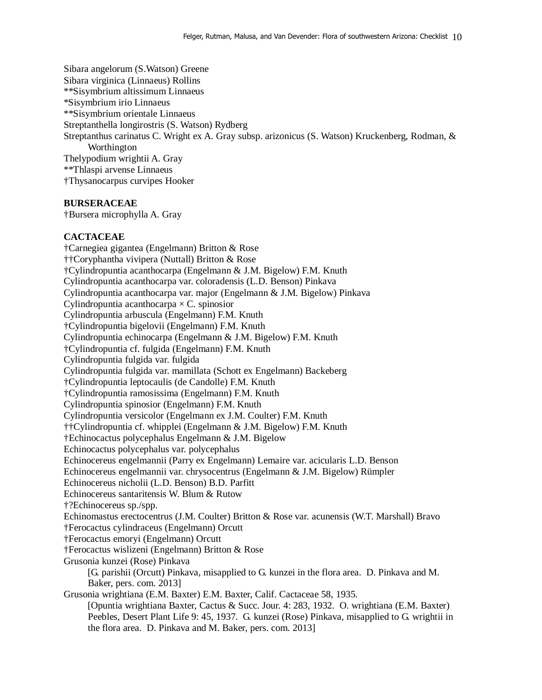Sibara angelorum (S.Watson) Greene Sibara virginica (Linnaeus) Rollins \*\*Sisymbrium altissimum Linnaeus \*Sisymbrium irio Linnaeus \*\*Sisymbrium orientale Linnaeus Streptanthella longirostris (S. Watson) Rydberg Streptanthus carinatus C. Wright ex A. Gray subsp. arizonicus (S. Watson) Kruckenberg, Rodman, & Worthington Thelypodium wrightii A. Gray \*\*Thlaspi arvense Linnaeus †Thysanocarpus curvipes Hooker

### **BURSERACEAE**

†Bursera microphylla A. Gray

#### **CACTACEAE**

†Carnegiea gigantea (Engelmann) Britton & Rose ††Coryphantha vivipera (Nuttall) Britton & Rose †Cylindropuntia acanthocarpa (Engelmann & J.M. Bigelow) F.M. Knuth Cylindropuntia acanthocarpa var. coloradensis (L.D. Benson) Pinkava Cylindropuntia acanthocarpa var. major (Engelmann & J.M. Bigelow) Pinkava Cylindropuntia acanthocarpa  $\times$  C. spinosior Cylindropuntia arbuscula (Engelmann) F.M. Knuth †Cylindropuntia bigelovii (Engelmann) F.M. Knuth Cylindropuntia echinocarpa (Engelmann & J.M. Bigelow) F.M. Knuth †Cylindropuntia cf. fulgida (Engelmann) F.M. Knuth Cylindropuntia fulgida var. fulgida Cylindropuntia fulgida var. mamillata (Schott ex Engelmann) Backeberg †Cylindropuntia leptocaulis (de Candolle) F.M. Knuth †Cylindropuntia ramosissima (Engelmann) F.M. Knuth Cylindropuntia spinosior (Engelmann) F.M. Knuth Cylindropuntia versicolor (Engelmann ex J.M. Coulter) F.M. Knuth ††Cylindropuntia cf. whipplei (Engelmann & J.M. Bigelow) F.M. Knuth †Echinocactus polycephalus Engelmann & J.M. Bigelow Echinocactus polycephalus var. polycephalus Echinocereus engelmannii (Parry ex Engelmann) Lemaire var. acicularis L.D. Benson Echinocereus engelmannii var. chrysocentrus (Engelmann & J.M. Bigelow) Rümpler Echinocereus nicholii (L.D. Benson) B.D. Parfitt Echinocereus santaritensis W. Blum & Rutow †?Echinocereus sp./spp. Echinomastus erectocentrus (J.M. Coulter) Britton & Rose var. acunensis (W.T. Marshall) Bravo †Ferocactus cylindraceus (Engelmann) Orcutt †Ferocactus emoryi (Engelmann) Orcutt †Ferocactus wislizeni (Engelmann) Britton & Rose Grusonia kunzei (Rose) Pinkava [G. parishii (Orcutt) Pinkava, misapplied to G. kunzei in the flora area. D. Pinkava and M. Baker, pers. com. 2013] Grusonia wrightiana (E.M. Baxter) E.M. Baxter, Calif. Cactaceae 58, 1935. [Opuntia wrightiana Baxter, Cactus & Succ. Jour. 4: 283, 1932. O. wrightiana (E.M. Baxter) Peebles, Desert Plant Life 9: 45, 1937. G. kunzei (Rose) Pinkava, misapplied to G. wrightii in the flora area. D. Pinkava and M. Baker, pers. com. 2013]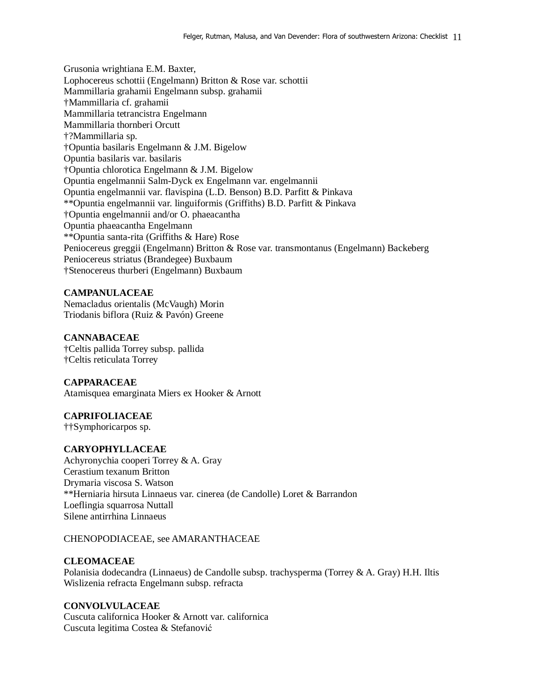Grusonia wrightiana E.M. Baxter, Lophocereus schottii (Engelmann) Britton & Rose var. schottii Mammillaria grahamii Engelmann subsp. grahamii †Mammillaria cf. grahamii Mammillaria tetrancistra Engelmann Mammillaria thornberi Orcutt †?Mammillaria sp. †Opuntia basilaris Engelmann & J.M. Bigelow Opuntia basilaris var. basilaris †Opuntia chlorotica Engelmann & J.M. Bigelow Opuntia engelmannii Salm-Dyck ex Engelmann var. engelmannii Opuntia engelmannii var. flavispina (L.D. Benson) B.D. Parfitt & Pinkava \*\*Opuntia engelmannii var. linguiformis (Griffiths) B.D. Parfitt & Pinkava †Opuntia engelmannii and/or O. phaeacantha Opuntia phaeacantha Engelmann \*\*Opuntia santa-rita (Griffiths & Hare) Rose Peniocereus greggii (Engelmann) Britton & Rose var. transmontanus (Engelmann) Backeberg Peniocereus striatus (Brandegee) Buxbaum †Stenocereus thurberi (Engelmann) Buxbaum

## **CAMPANULACEAE**

Nemacladus orientalis (McVaugh) Morin Triodanis biflora (Ruiz & Pavón) Greene

### **CANNABACEAE**

†Celtis pallida Torrey subsp. pallida †Celtis reticulata Torrey

#### **CAPPARACEAE**

Atamisquea emarginata Miers ex Hooker & Arnott

### **CAPRIFOLIACEAE**

††Symphoricarpos sp.

### **CARYOPHYLLACEAE**

Achyronychia cooperi Torrey & A. Gray Cerastium texanum Britton Drymaria viscosa S. Watson \*\*Herniaria hirsuta Linnaeus var. cinerea (de Candolle) Loret & Barrandon Loeflingia squarrosa Nuttall Silene antirrhina Linnaeus

## CHENOPODIACEAE, see AMARANTHACEAE

### **CLEOMACEAE**

Polanisia dodecandra (Linnaeus) de Candolle subsp. trachysperma (Torrey & A. Gray) H.H. Iltis Wislizenia refracta Engelmann subsp. refracta

## **CONVOLVULACEAE**

Cuscuta californica Hooker & Arnott var. californica Cuscuta legitima Costea & Stefanović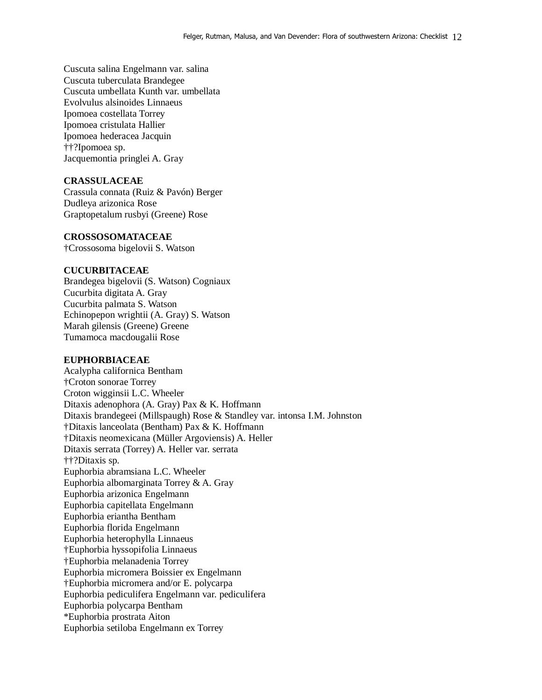Cuscuta salina Engelmann var. salina Cuscuta tuberculata Brandegee Cuscuta umbellata Kunth var. umbellata Evolvulus alsinoides Linnaeus Ipomoea costellata Torrey Ipomoea cristulata Hallier Ipomoea hederacea Jacquin ††?Ipomoea sp. Jacquemontia pringlei A. Gray

## **CRASSULACEAE**

Crassula connata (Ruiz & Pavón) Berger Dudleya arizonica Rose Graptopetalum rusbyi (Greene) Rose

#### **CROSSOSOMATACEAE**

†Crossosoma bigelovii S. Watson

### **CUCURBITACEAE**

Brandegea bigelovii (S. Watson) Cogniaux Cucurbita digitata A. Gray Cucurbita palmata S. Watson Echinopepon wrightii (A. Gray) S. Watson Marah gilensis (Greene) Greene Tumamoca macdougalii Rose

## **EUPHORBIACEAE**

Acalypha californica Bentham †Croton sonorae Torrey Croton wigginsii L.C. Wheeler Ditaxis adenophora (A. Gray) Pax & K. Hoffmann Ditaxis brandegeei (Millspaugh) Rose & Standley var. intonsa I.M. Johnston †Ditaxis lanceolata (Bentham) Pax & K. Hoffmann †Ditaxis neomexicana (Müller Argoviensis) A. Heller Ditaxis serrata (Torrey) A. Heller var. serrata ††?Ditaxis sp. Euphorbia abramsiana L.C. Wheeler Euphorbia albomarginata Torrey & A. Gray Euphorbia arizonica Engelmann Euphorbia capitellata Engelmann Euphorbia eriantha Bentham Euphorbia florida Engelmann Euphorbia heterophylla Linnaeus †Euphorbia hyssopifolia Linnaeus †Euphorbia melanadenia Torrey Euphorbia micromera Boissier ex Engelmann †Euphorbia micromera and/or E. polycarpa Euphorbia pediculifera Engelmann var. pediculifera Euphorbia polycarpa Bentham \*Euphorbia prostrata Aiton Euphorbia setiloba Engelmann ex Torrey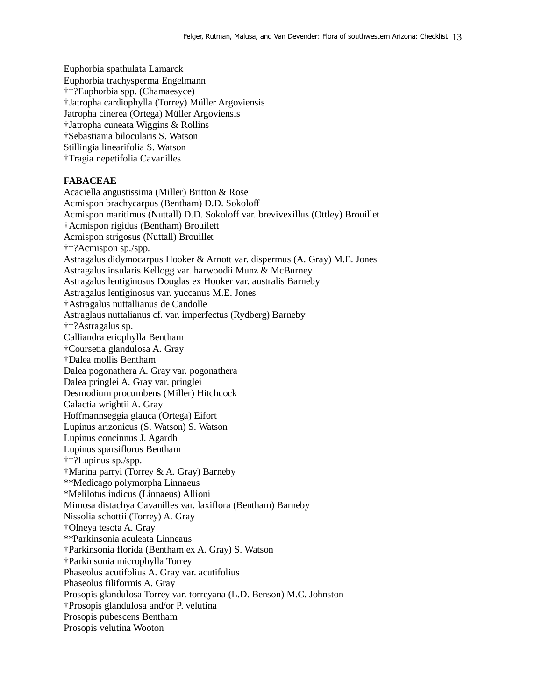Euphorbia spathulata Lamarck Euphorbia trachysperma Engelmann ††?Euphorbia spp. (Chamaesyce) †Jatropha cardiophylla (Torrey) Müller Argoviensis Jatropha cinerea (Ortega) Müller Argoviensis †Jatropha cuneata Wiggins & Rollins †Sebastiania bilocularis S. Watson Stillingia linearifolia S. Watson †Tragia nepetifolia Cavanilles

## **FABACEAE**

Acaciella angustissima (Miller) Britton & Rose Acmispon brachycarpus (Bentham) D.D. Sokoloff Acmispon maritimus (Nuttall) D.D. Sokoloff var. brevivexillus (Ottley) Brouillet †Acmispon rigidus (Bentham) Brouilett Acmispon strigosus (Nuttall) Brouillet ††?Acmispon sp./spp. Astragalus didymocarpus Hooker & Arnott var. dispermus (A. Gray) M.E. Jones Astragalus insularis Kellogg var. harwoodii Munz & McBurney Astragalus lentiginosus Douglas ex Hooker var. australis Barneby Astragalus lentiginosus var. yuccanus M.E. Jones †Astragalus nuttallianus de Candolle Astraglaus nuttalianus cf. var. imperfectus (Rydberg) Barneby ††?Astragalus sp. Calliandra eriophylla Bentham †Coursetia glandulosa A. Gray †Dalea mollis Bentham Dalea pogonathera A. Gray var. pogonathera Dalea pringlei A. Gray var. pringlei Desmodium procumbens (Miller) Hitchcock Galactia wrightii A. Gray Hoffmannseggia glauca (Ortega) Eifort Lupinus arizonicus (S. Watson) S. Watson Lupinus concinnus J. Agardh Lupinus sparsiflorus Bentham ††?Lupinus sp./spp. †Marina parryi (Torrey & A. Gray) Barneby \*\*Medicago polymorpha Linnaeus \*Melilotus indicus (Linnaeus) Allioni Mimosa distachya Cavanilles var. laxiflora (Bentham) Barneby Nissolia schottii (Torrey) A. Gray †Olneya tesota A. Gray \*\*Parkinsonia aculeata Linneaus †Parkinsonia florida (Bentham ex A. Gray) S. Watson †Parkinsonia microphylla Torrey Phaseolus acutifolius A. Gray var. acutifolius Phaseolus filiformis A. Gray Prosopis glandulosa Torrey var. torreyana (L.D. Benson) M.C. Johnston †Prosopis glandulosa and/or P. velutina Prosopis pubescens Bentham Prosopis velutina Wooton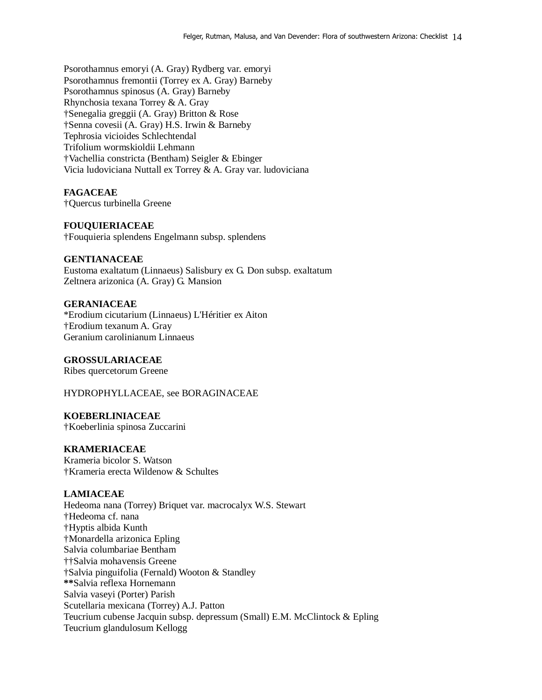Psorothamnus emoryi (A. Gray) Rydberg var. emoryi Psorothamnus fremontii (Torrey ex A. Gray) Barneby Psorothamnus spinosus (A. Gray) Barneby Rhynchosia texana Torrey & A. Gray †Senegalia greggii (A. Gray) Britton & Rose †Senna covesii (A. Gray) H.S. Irwin & Barneby Tephrosia vicioides Schlechtendal Trifolium wormskioldii Lehmann †Vachellia constricta (Bentham) Seigler & Ebinger Vicia ludoviciana Nuttall ex Torrey & A. Gray var. ludoviciana

### **FAGACEAE**

†Quercus turbinella Greene

#### **FOUQUIERIACEAE**

†Fouquieria splendens Engelmann subsp. splendens

#### **GENTIANACEAE**

Eustoma exaltatum (Linnaeus) Salisbury ex G. Don subsp. exaltatum Zeltnera arizonica (A. Gray) G. Mansion

### **GERANIACEAE**

\*Erodium cicutarium (Linnaeus) L'Héritier ex Aiton †Erodium texanum A. Gray Geranium carolinianum Linnaeus

## **GROSSULARIACEAE**

Ribes quercetorum Greene

HYDROPHYLLACEAE, see BORAGINACEAE

#### **KOEBERLINIACEAE**

†Koeberlinia spinosa Zuccarini

### **KRAMERIACEAE**

Krameria bicolor S. Watson †Krameria erecta Wildenow & Schultes

## **LAMIACEAE**

Hedeoma nana (Torrey) Briquet var. macrocalyx W.S. Stewart †Hedeoma cf. nana †Hyptis albida Kunth †Monardella arizonica Epling Salvia columbariae Bentham ††Salvia mohavensis Greene †Salvia pinguifolia (Fernald) Wooton & Standley **\*\***Salvia reflexa Hornemann Salvia vaseyi (Porter) Parish Scutellaria mexicana (Torrey) A.J. Patton Teucrium cubense Jacquin subsp. depressum (Small) E.M. McClintock & Epling Teucrium glandulosum Kellogg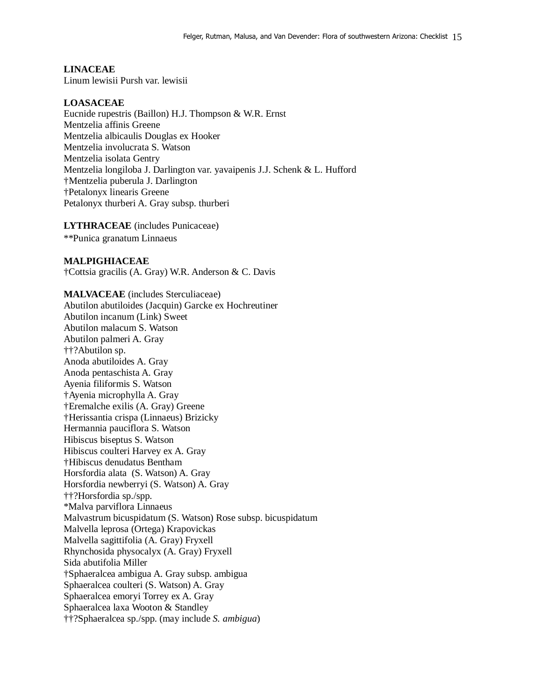### **LINACEAE**

Linum lewisii Pursh var. lewisii

#### **LOASACEAE**

Eucnide rupestris (Baillon) H.J. Thompson & W.R. Ernst Mentzelia affinis Greene Mentzelia albicaulis Douglas ex Hooker Mentzelia involucrata S. Watson Mentzelia isolata Gentry Mentzelia longiloba J. Darlington var. yavaipenis J.J. Schenk & L. Hufford †Mentzelia puberula J. Darlington †Petalonyx linearis Greene Petalonyx thurberi A. Gray subsp. thurberi

**LYTHRACEAE** (includes Punicaceae) \*\*Punica granatum Linnaeus

### **MALPIGHIACEAE**

†Cottsia gracilis (A. Gray) W.R. Anderson & C. Davis

### **MALVACEAE** (includes Sterculiaceae)

Abutilon abutiloides (Jacquin) Garcke ex Hochreutiner Abutilon incanum (Link) Sweet Abutilon malacum S. Watson Abutilon palmeri A. Gray ††?Abutilon sp. Anoda abutiloides A. Gray Anoda pentaschista A. Gray Ayenia filiformis S. Watson †Ayenia microphylla A. Gray †Eremalche exilis (A. Gray) Greene †Herissantia crispa (Linnaeus) Brizicky Hermannia pauciflora S. Watson Hibiscus biseptus S. Watson Hibiscus coulteri Harvey ex A. Gray †Hibiscus denudatus Bentham Horsfordia alata (S. Watson) A. Gray Horsfordia newberryi (S. Watson) A. Gray ††?Horsfordia sp./spp. \*Malva parviflora Linnaeus Malvastrum bicuspidatum (S. Watson) Rose subsp. bicuspidatum Malvella leprosa (Ortega) Krapovickas Malvella sagittifolia (A. Gray) Fryxell Rhynchosida physocalyx (A. Gray) Fryxell Sida abutifolia Miller †Sphaeralcea ambigua A. Gray subsp. ambigua Sphaeralcea coulteri (S. Watson) A. Gray Sphaeralcea emoryi Torrey ex A. Gray Sphaeralcea laxa Wooton & Standley ††?Sphaeralcea sp./spp. (may include *S. ambigua*)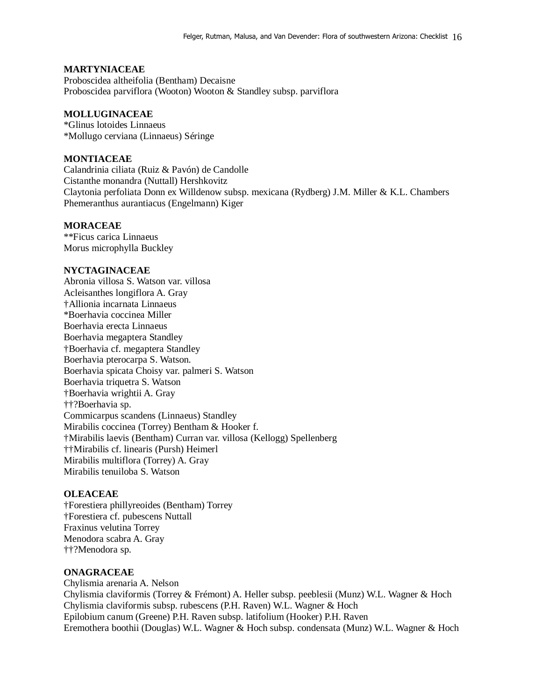## **MARTYNIACEAE**

Proboscidea altheifolia (Bentham) Decaisne Proboscidea parviflora (Wooton) Wooton & Standley subsp. parviflora

## **MOLLUGINACEAE**

\*Glinus lotoides Linnaeus \*Mollugo cerviana (Linnaeus) Séringe

### **MONTIACEAE**

Calandrinia ciliata (Ruiz & Pavón) de Candolle Cistanthe monandra (Nuttall) Hershkovitz Claytonia perfoliata Donn ex Willdenow subsp. mexicana (Rydberg) J.M. Miller & K.L. Chambers Phemeranthus aurantiacus (Engelmann) Kiger

#### **MORACEAE**

\*\*Ficus carica Linnaeus Morus microphylla Buckley

## **NYCTAGINACEAE**

Abronia villosa S. Watson var. villosa Acleisanthes longiflora A. Gray †Allionia incarnata Linnaeus \*Boerhavia coccinea Miller Boerhavia erecta Linnaeus Boerhavia megaptera Standley †Boerhavia cf. megaptera Standley Boerhavia pterocarpa S. Watson. Boerhavia spicata Choisy var. palmeri S. Watson Boerhavia triquetra S. Watson †Boerhavia wrightii A. Gray ††?Boerhavia sp. Commicarpus scandens (Linnaeus) Standley Mirabilis coccinea (Torrey) Bentham & Hooker f. †Mirabilis laevis (Bentham) Curran var. villosa (Kellogg) Spellenberg ††Mirabilis cf. linearis (Pursh) Heimerl Mirabilis multiflora (Torrey) A. Gray Mirabilis tenuiloba S. Watson

## **OLEACEAE**

†Forestiera phillyreoides (Bentham) Torrey †Forestiera cf. pubescens Nuttall Fraxinus velutina Torrey Menodora scabra A. Gray ††?Menodora sp.

### **ONAGRACEAE**

Chylismia arenaria A. Nelson Chylismia claviformis (Torrey & Frémont) A. Heller subsp. peeblesii (Munz) W.L. Wagner & Hoch Chylismia claviformis subsp. rubescens (P.H. Raven) W.L. Wagner & Hoch Epilobium canum (Greene) P.H. Raven subsp. latifolium (Hooker) P.H. Raven Eremothera boothii (Douglas) W.L. Wagner & Hoch subsp. condensata (Munz) W.L. Wagner & Hoch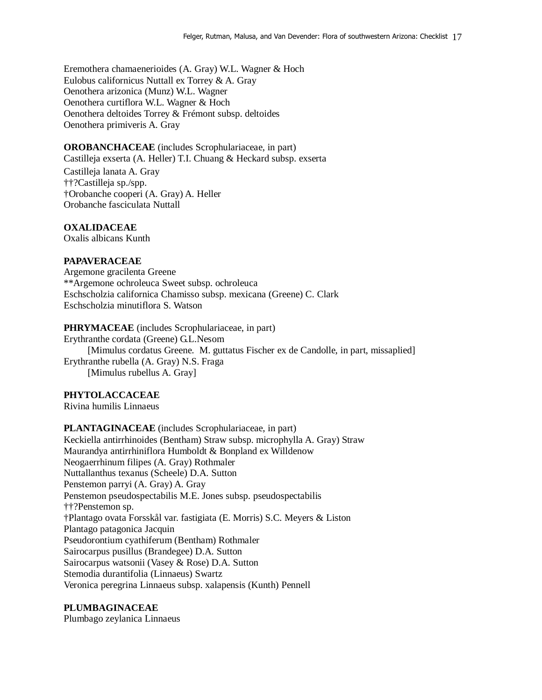Eremothera chamaenerioides (A. Gray) W.L. Wagner & Hoch Eulobus californicus Nuttall ex Torrey & A. Gray Oenothera arizonica (Munz) W.L. Wagner Oenothera curtiflora W.L. Wagner & Hoch Oenothera deltoides Torrey & Frémont subsp. deltoides Oenothera primiveris A. Gray

## **OROBANCHACEAE** (includes Scrophulariaceae, in part)

Castilleja exserta (A. Heller) T.I. Chuang & Heckard subsp. exserta Castilleja lanata A. Gray ††?Castilleja sp./spp. †Orobanche cooperi (A. Gray) A. Heller Orobanche fasciculata Nuttall

## **OXALIDACEAE**

Oxalis albicans Kunth

## **PAPAVERACEAE**

Argemone gracilenta Greene \*\*Argemone ochroleuca Sweet subsp. ochroleuca Eschscholzia californica Chamisso subsp. mexicana (Greene) C. Clark Eschscholzia minutiflora S. Watson

**PHRYMACEAE** (includes Scrophulariaceae, in part) Erythranthe cordata (Greene) G.L.Nesom [Mimulus cordatus Greene. M. guttatus Fischer ex de Candolle, in part, missaplied] Erythranthe rubella (A. Gray) N.S. Fraga [Mimulus rubellus A. Gray]

## **PHYTOLACCACEAE**

Rivina humilis Linnaeus

**PLANTAGINACEAE** (includes Scrophulariaceae, in part) Keckiella antirrhinoides (Bentham) Straw subsp. microphylla A. Gray) Straw Maurandya antirrhiniflora Humboldt & Bonpland ex Willdenow Neogaerrhinum filipes (A. Gray) Rothmaler Nuttallanthus texanus (Scheele) D.A. Sutton Penstemon parryi (A. Gray) A. Gray Penstemon pseudospectabilis M.E. Jones subsp. pseudospectabilis ††?Penstemon sp. †Plantago ovata Forsskål var. fastigiata (E. Morris) S.C. Meyers & Liston Plantago patagonica Jacquin Pseudorontium cyathiferum (Bentham) Rothmaler Sairocarpus pusillus (Brandegee) D.A. Sutton Sairocarpus watsonii (Vasey & Rose) D.A. Sutton Stemodia durantifolia (Linnaeus) Swartz Veronica peregrina Linnaeus subsp. xalapensis (Kunth) Pennell

## **PLUMBAGINACEAE**

Plumbago zeylanica Linnaeus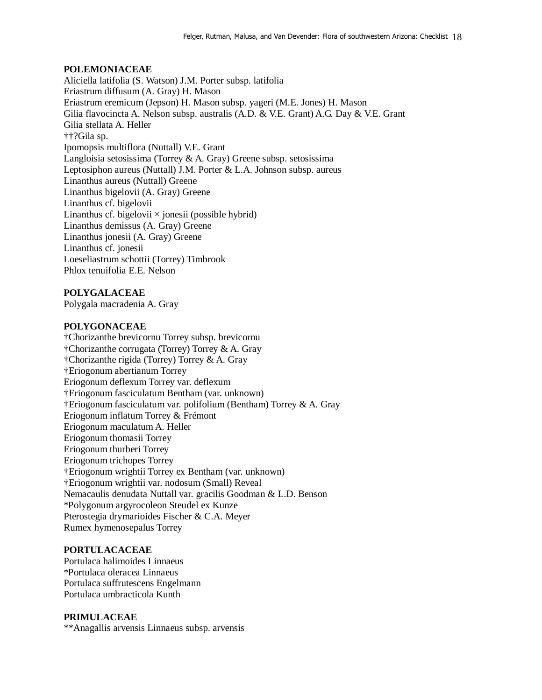## **POLEMONIACEAE**

Aliciella latifolia (S. Watson) J.M. Porter subsp. latifolia Eriastrum diffusum (A. Gray) H. Mason Eriastrum eremicum (Jepson) H. Mason subsp. yageri (M.E. Jones) H. Mason Gilia flavocincta A. Nelson subsp. australis (A.D. & V.E. Grant) A.G. Day & V.E. Grant Gilia stellata A. Heller ††?Gila sp. Ipomopsis multiflora (Nuttall) V.E. Grant Langloisia setosissima (Torrey & A. Gray) Greene subsp. setosissima Leptosiphon aureus (Nuttall) J.M. Porter & L.A. Johnson subsp. aureus Linanthus aureus (Nuttall) Greene Linanthus bigelovii (A. Gray) Greene Linanthus cf. bigelovii Linanthus cf. bigelovii  $\times$  jonesii (possible hybrid) Linanthus demissus (A. Gray) Greene Linanthus jonesii (A. Gray) Greene Linanthus cf. jonesii Loeseliastrum schottii (Torrey) Timbrook Phlox tenuifolia E.E. Nelson

## **POLYGALACEAE**

Polygala macradenia A. Gray

## **POLYGONACEAE**

†Chorizanthe brevicornu Torrey subsp. brevicornu †Chorizanthe corrugata (Torrey) Torrey & A. Gray †Chorizanthe rigida (Torrey) Torrey & A. Gray †Eriogonum abertianum Torrey Eriogonum deflexum Torrey var. deflexum †Eriogonum fasciculatum Bentham (var. unknown) †Eriogonum fasciculatum var. polifolium (Bentham) Torrey & A. Gray Eriogonum inflatum Torrey & Frémont Eriogonum maculatum A. Heller Eriogonum thomasii Torrey Eriogonum thurberi Torrey Eriogonum trichopes Torrey †Eriogonum wrightii Torrey ex Bentham (var. unknown) †Eriogonum wrightii var. nodosum (Small) Reveal Nemacaulis denudata Nuttall var. gracilis Goodman & L.D. Benson \*Polygonum argyrocoleon Steudel ex Kunze Pterostegia drymarioides Fischer & C.A. Meyer Rumex hymenosepalus Torrey

## **PORTULACACEAE**

Portulaca halimoides Linnaeus \*Portulaca oleracea Linnaeus Portulaca suffrutescens Engelmann Portulaca umbracticola Kunth

## **PRIMULACEAE**

\*\*Anagallis arvensis Linnaeus subsp. arvensis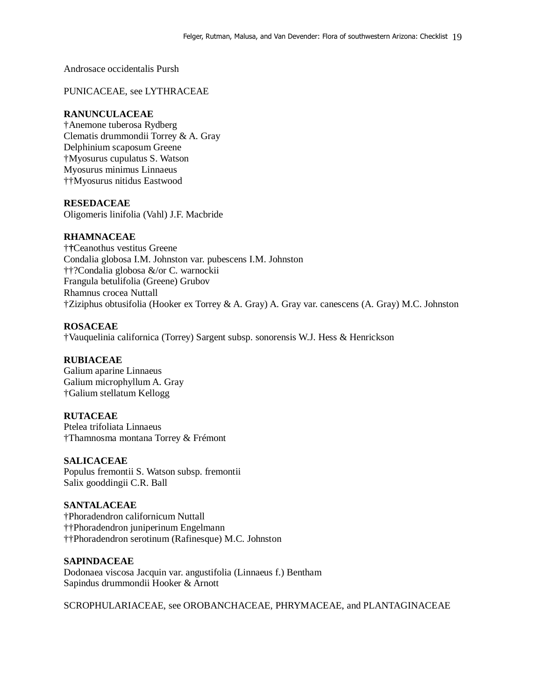Androsace occidentalis Pursh

PUNICACEAE, see LYTHRACEAE

## **RANUNCULACEAE**

†Anemone tuberosa Rydberg Clematis drummondii Torrey & A. Gray Delphinium scaposum Greene †Myosurus cupulatus S. Watson Myosurus minimus Linnaeus ††Myosurus nitidus Eastwood

## **RESEDACEAE**

Oligomeris linifolia (Vahl) J.F. Macbride

## **RHAMNACEAE**

†**†**Ceanothus vestitus Greene Condalia globosa I.M. Johnston var. pubescens I.M. Johnston ††?Condalia globosa &/or C. warnockii Frangula betulifolia (Greene) Grubov Rhamnus crocea Nuttall †Ziziphus obtusifolia (Hooker ex Torrey & A. Gray) A. Gray var. canescens (A. Gray) M.C. Johnston

## **ROSACEAE**

†Vauquelinia californica (Torrey) Sargent subsp. sonorensis W.J. Hess & Henrickson

## **RUBIACEAE**

Galium aparine Linnaeus Galium microphyllum A. Gray †Galium stellatum Kellogg

## **RUTACEAE**

Ptelea trifoliata Linnaeus †Thamnosma montana Torrey & Frémont

## **SALICACEAE**

Populus fremontii S. Watson subsp. fremontii Salix gooddingii C.R. Ball

## **SANTALACEAE**

†Phoradendron californicum Nuttall ††Phoradendron juniperinum Engelmann ††Phoradendron serotinum (Rafinesque) M.C. Johnston

## **SAPINDACEAE**

Dodonaea viscosa Jacquin var. angustifolia (Linnaeus f.) Bentham Sapindus drummondii Hooker & Arnott

SCROPHULARIACEAE, see OROBANCHACEAE, PHRYMACEAE, and PLANTAGINACEAE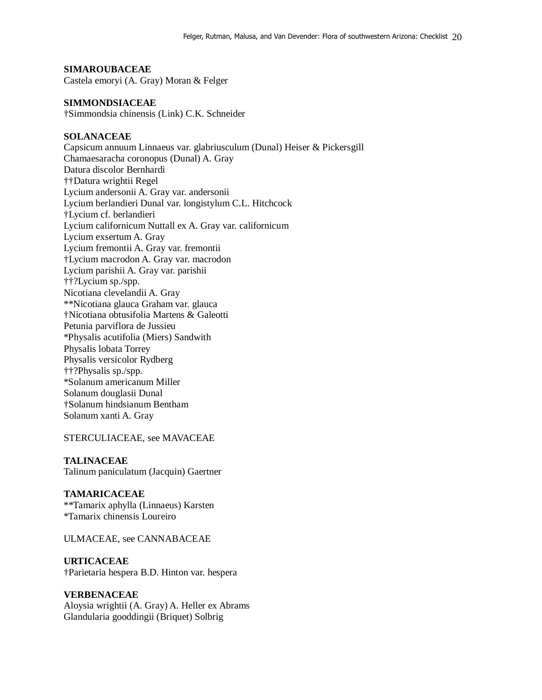## **SIMAROUBACEAE**

Castela emoryi (A. Gray) Moran & Felger

#### **SIMMONDSIACEAE**

†Simmondsia chinensis (Link) C.K. Schneider

### **SOLANACEAE**

Capsicum annuum Linnaeus var. glabriusculum (Dunal) Heiser & Pickersgill Chamaesaracha coronopus (Dunal) A. Gray Datura discolor Bernhardi ††Datura wrightii Regel Lycium andersonii A. Gray var. andersonii Lycium berlandieri Dunal var. longistylum C.L. Hitchcock †Lycium cf. berlandieri Lycium californicum Nuttall ex A. Gray var. californicum Lycium exsertum A. Gray Lycium fremontii A. Gray var. fremontii †Lycium macrodon A. Gray var. macrodon Lycium parishii A. Gray var. parishii ††?Lycium sp./spp. Nicotiana clevelandii A. Gray \*\*Nicotiana glauca Graham var. glauca †Nicotiana obtusifolia Martens & Galeotti Petunia parviflora de Jussieu \*Physalis acutifolia (Miers) Sandwith Physalis lobata Torrey Physalis versicolor Rydberg ††?Physalis sp./spp. \*Solanum americanum Miller Solanum douglasii Dunal †Solanum hindsianum Bentham Solanum xanti A. Gray

STERCULIACEAE, see MAVACEAE

### **TALINACEAE**

Talinum paniculatum (Jacquin) Gaertner

### **TAMARICACEAE**

\*\*Tamarix aphylla (Linnaeus) Karsten \*Tamarix chinensis Loureiro

ULMACEAE, see CANNABACEAE

### **URTICACEAE**

†Parietaria hespera B.D. Hinton var. hespera

## **VERBENACEAE**

Aloysia wrightii (A. Gray) A. Heller ex Abrams Glandularia gooddingii (Briquet) Solbrig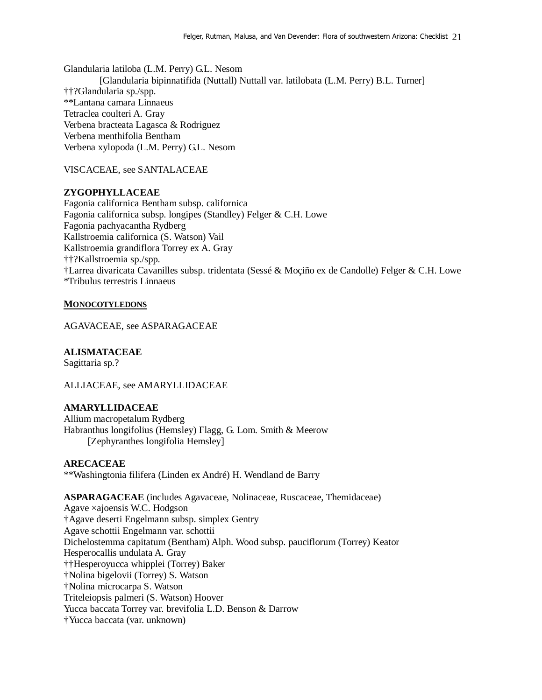Glandularia latiloba (L.M. Perry) G.L. Nesom [Glandularia bipinnatifida (Nuttall) Nuttall var. latilobata (L.M. Perry) B.L. Turner] ††?Glandularia sp./spp. \*\*Lantana camara Linnaeus Tetraclea coulteri A. Gray Verbena bracteata Lagasca & Rodriguez Verbena menthifolia Bentham Verbena xylopoda (L.M. Perry) G.L. Nesom

VISCACEAE, see SANTALACEAE

## **ZYGOPHYLLACEAE**

Fagonia californica Bentham subsp. californica Fagonia californica subsp. longipes (Standley) Felger & C.H. Lowe Fagonia pachyacantha Rydberg Kallstroemia californica (S. Watson) Vail Kallstroemia grandiflora Torrey ex A. Gray ††?Kallstroemia sp./spp. †Larrea divaricata Cavanilles subsp. tridentata (Sessé & Moçiño ex de Candolle) Felger & C.H. Lowe \*Tribulus terrestris Linnaeus

## **MONOCOTYLEDONS**

AGAVACEAE, see ASPARAGACEAE

# **ALISMATACEAE**

Sagittaria sp.?

ALLIACEAE, see AMARYLLIDACEAE

# **AMARYLLIDACEAE**

Allium macropetalum Rydberg Habranthus longifolius (Hemsley) Flagg, G. Lom. Smith & Meerow [Zephyranthes longifolia Hemsley]

## **ARECACEAE**

\*\*Washingtonia filifera (Linden ex André) H. Wendland de Barry

**ASPARAGACEAE** (includes Agavaceae, Nolinaceae, Ruscaceae, Themidaceae) Agave ×ajoensis W.C. Hodgson †Agave deserti Engelmann subsp. simplex Gentry Agave schottii Engelmann var. schottii Dichelostemma capitatum (Bentham) Alph. Wood subsp. pauciflorum (Torrey) Keator Hesperocallis undulata A. Gray ††Hesperoyucca whipplei (Torrey) Baker †Nolina bigelovii (Torrey) S. Watson †Nolina microcarpa S. Watson Triteleiopsis palmeri (S. Watson) Hoover Yucca baccata Torrey var. brevifolia L.D. Benson & Darrow †Yucca baccata (var. unknown)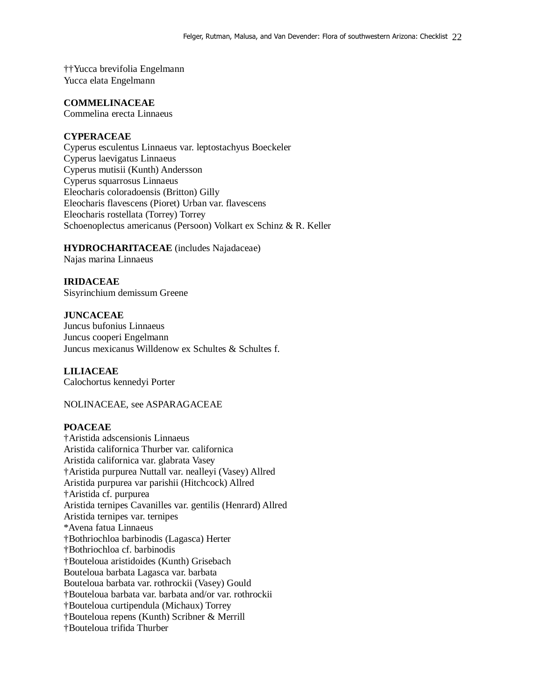††Yucca brevifolia Engelmann Yucca elata Engelmann

### **COMMELINACEAE**

Commelina erecta Linnaeus

## **CYPERACEAE**

Cyperus esculentus Linnaeus var. leptostachyus Boeckeler Cyperus laevigatus Linnaeus Cyperus mutisii (Kunth) Andersson Cyperus squarrosus Linnaeus Eleocharis coloradoensis (Britton) Gilly Eleocharis flavescens (Pioret) Urban var. flavescens Eleocharis rostellata (Torrey) Torrey Schoenoplectus americanus (Persoon) Volkart ex Schinz & R. Keller

### **HYDROCHARITACEAE** (includes Najadaceae)

Najas marina Linnaeus

#### **IRIDACEAE**

Sisyrinchium demissum Greene

#### **JUNCACEAE**

Juncus bufonius Linnaeus Juncus cooperi Engelmann Juncus mexicanus Willdenow ex Schultes & Schultes f.

### **LILIACEAE**

Calochortus kennedyi Porter

### NOLINACEAE, see ASPARAGACEAE

#### **POACEAE**

†Aristida adscensionis Linnaeus Aristida californica Thurber var. californica Aristida californica var. glabrata Vasey †Aristida purpurea Nuttall var. nealleyi (Vasey) Allred Aristida purpurea var parishii (Hitchcock) Allred †Aristida cf. purpurea Aristida ternipes Cavanilles var. gentilis (Henrard) Allred Aristida ternipes var. ternipes \*Avena fatua Linnaeus †Bothriochloa barbinodis (Lagasca) Herter †Bothriochloa cf. barbinodis †Bouteloua aristidoides (Kunth) Grisebach Bouteloua barbata Lagasca var. barbata Bouteloua barbata var. rothrockii (Vasey) Gould †Bouteloua barbata var. barbata and/or var. rothrockii †Bouteloua curtipendula (Michaux) Torrey †Bouteloua repens (Kunth) Scribner & Merrill †Bouteloua trifida Thurber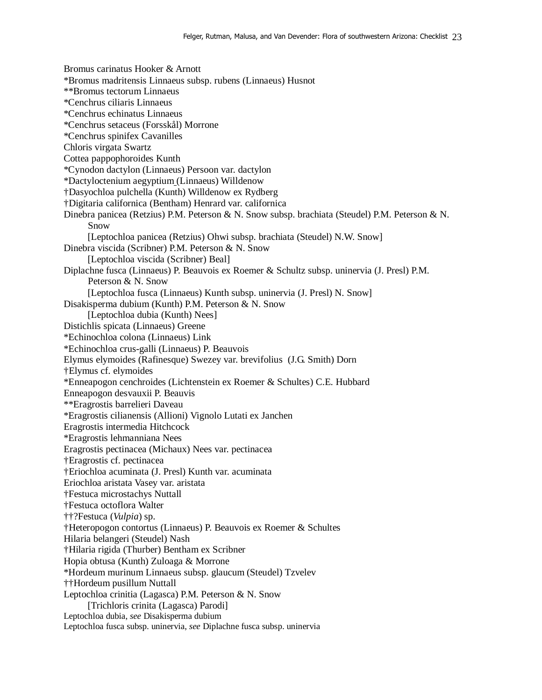Bromus carinatus Hooker & Arnott \*Bromus madritensis Linnaeus subsp. rubens (Linnaeus) Husnot \*\*Bromus tectorum Linnaeus \*Cenchrus ciliaris Linnaeus \*Cenchrus echinatus Linnaeus \*Cenchrus setaceus (Forsskål) Morrone \*Cenchrus spinifex Cavanilles Chloris virgata Swartz Cottea pappophoroides Kunth \*Cynodon dactylon (Linnaeus) Persoon var. dactylon \*Dactyloctenium aegyptium (Linnaeus) Willdenow †Dasyochloa pulchella (Kunth) Willdenow ex Rydberg †Digitaria californica (Bentham) Henrard var. californica Dinebra panicea (Retzius) P.M. Peterson & N. Snow subsp. brachiata (Steudel) P.M. Peterson & N. Snow [Leptochloa panicea (Retzius) Ohwi subsp. brachiata (Steudel) N.W. Snow] Dinebra viscida (Scribner) P.M. Peterson & N. Snow [Leptochloa viscida (Scribner) Beal] Diplachne fusca (Linnaeus) P. Beauvois ex Roemer & Schultz subsp. uninervia (J. Presl) P.M. Peterson & N. Snow [Leptochloa fusca (Linnaeus) Kunth subsp. uninervia (J. Presl) N. Snow] Disakisperma dubium (Kunth) P.M. Peterson & N. Snow [Leptochloa dubia (Kunth) Nees] Distichlis spicata (Linnaeus) Greene \*Echinochloa colona (Linnaeus) Link \*Echinochloa crus-galli (Linnaeus) P. Beauvois Elymus elymoides (Rafinesque) Swezey var. brevifolius (J.G. Smith) Dorn †Elymus cf. elymoides \*Enneapogon cenchroides (Lichtenstein ex Roemer & Schultes) C.E. Hubbard Enneapogon desvauxii P. Beauvis \*\*Eragrostis barrelieri Daveau \*Eragrostis cilianensis (Allioni) Vignolo Lutati ex Janchen Eragrostis intermedia Hitchcock \*Eragrostis lehmanniana Nees Eragrostis pectinacea (Michaux) Nees var. pectinacea †Eragrostis cf. pectinacea †Eriochloa acuminata (J. Presl) Kunth var. acuminata Eriochloa aristata Vasey var. aristata †Festuca microstachys Nuttall †Festuca octoflora Walter ††?Festuca (*Vulpia*) sp. †Heteropogon contortus (Linnaeus) P. Beauvois ex Roemer & Schultes Hilaria belangeri (Steudel) Nash †Hilaria rigida (Thurber) Bentham ex Scribner Hopia obtusa (Kunth) Zuloaga & Morrone \*Hordeum murinum Linnaeus subsp. glaucum (Steudel) Tzvelev ††Hordeum pusillum Nuttall Leptochloa crinitia (Lagasca) P.M. Peterson & N. Snow [Trichloris crinita (Lagasca) Parodi] Leptochloa dubia, *see* Disakisperma dubium Leptochloa fusca subsp. uninervia, *see* Diplachne fusca subsp. uninervia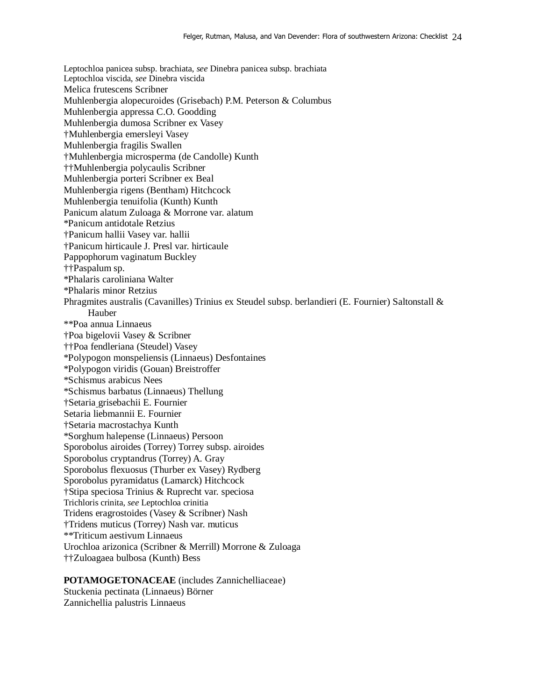Leptochloa panicea subsp. brachiata, *see* Dinebra panicea subsp. brachiata Leptochloa viscida, *see* Dinebra viscida Melica frutescens Scribner Muhlenbergia alopecuroides (Grisebach) P.M. Peterson & Columbus Muhlenbergia appressa C.O. Goodding Muhlenbergia dumosa Scribner ex Vasey †Muhlenbergia emersleyi Vasey Muhlenbergia fragilis Swallen †Muhlenbergia microsperma (de Candolle) Kunth ††Muhlenbergia polycaulis Scribner Muhlenbergia porteri Scribner ex Beal Muhlenbergia rigens (Bentham) Hitchcock Muhlenbergia tenuifolia (Kunth) Kunth Panicum alatum Zuloaga & Morrone var. alatum \*Panicum antidotale Retzius †Panicum hallii Vasey var. hallii †Panicum hirticaule J. Presl var. hirticaule Pappophorum vaginatum Buckley ††Paspalum sp. \*Phalaris caroliniana Walter \*Phalaris minor Retzius Phragmites australis (Cavanilles) Trinius ex Steudel subsp. berlandieri (E. Fournier) Saltonstall & Hauber \*\*Poa annua Linnaeus †Poa bigelovii Vasey & Scribner ††Poa fendleriana (Steudel) Vasey \*Polypogon monspeliensis (Linnaeus) Desfontaines \*Polypogon viridis (Gouan) Breistroffer \*Schismus arabicus Nees \*Schismus barbatus (Linnaeus) Thellung †Setaria grisebachii E. Fournier Setaria liebmannii E. Fournier †Setaria macrostachya Kunth \*Sorghum halepense (Linnaeus) Persoon Sporobolus airoides (Torrey) Torrey subsp. airoides Sporobolus cryptandrus (Torrey) A. Gray Sporobolus flexuosus (Thurber ex Vasey) Rydberg Sporobolus pyramidatus (Lamarck) Hitchcock †Stipa speciosa Trinius & Ruprecht var. speciosa Trichloris crinita, *see* Leptochloa crinitia Tridens eragrostoides (Vasey & Scribner) Nash †Tridens muticus (Torrey) Nash var. muticus \*\*Triticum aestivum Linnaeus Urochloa arizonica (Scribner & Merrill) Morrone & Zuloaga ††Zuloagaea bulbosa (Kunth) Bess

**POTAMOGETONACEAE** (includes Zannichelliaceae) Stuckenia pectinata (Linnaeus) Börner Zannichellia palustris Linnaeus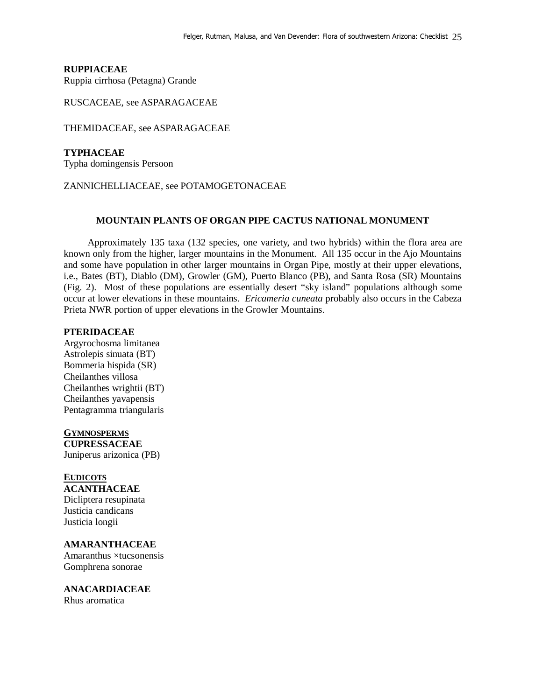## **RUPPIACEAE**

Ruppia cirrhosa (Petagna) Grande

RUSCACEAE, see ASPARAGACEAE

THEMIDACEAE, see ASPARAGACEAE

**TYPHACEAE**  Typha domingensis Persoon

### ZANNICHELLIACEAE, see POTAMOGETONACEAE

## **MOUNTAIN PLANTS OF ORGAN PIPE CACTUS NATIONAL MONUMENT**

 Approximately 135 taxa (132 species, one variety, and two hybrids) within the flora area are known only from the higher, larger mountains in the Monument. All 135 occur in the Ajo Mountains and some have population in other larger mountains in Organ Pipe, mostly at their upper elevations, i.e., Bates (BT), Diablo (DM), Growler (GM), Puerto Blanco (PB), and Santa Rosa (SR) Mountains (Fig. 2). Most of these populations are essentially desert "sky island" populations although some occur at lower elevations in these mountains. *Ericameria cuneata* probably also occurs in the Cabeza Prieta NWR portion of upper elevations in the Growler Mountains.

## **PTERIDACEAE**

Argyrochosma limitanea Astrolepis sinuata (BT) Bommeria hispida (SR) Cheilanthes villosa Cheilanthes wrightii (BT) Cheilanthes yavapensis Pentagramma triangularis

**GYMNOSPERMS CUPRESSACEAE** Juniperus arizonica (PB)

#### **EUDICOTS ACANTHACEAE**

Dicliptera resupinata Justicia candicans Justicia longii

**AMARANTHACEAE** 

Amaranthus ×tucsonensis Gomphrena sonorae

**ANACARDIACEAE**  Rhus aromatica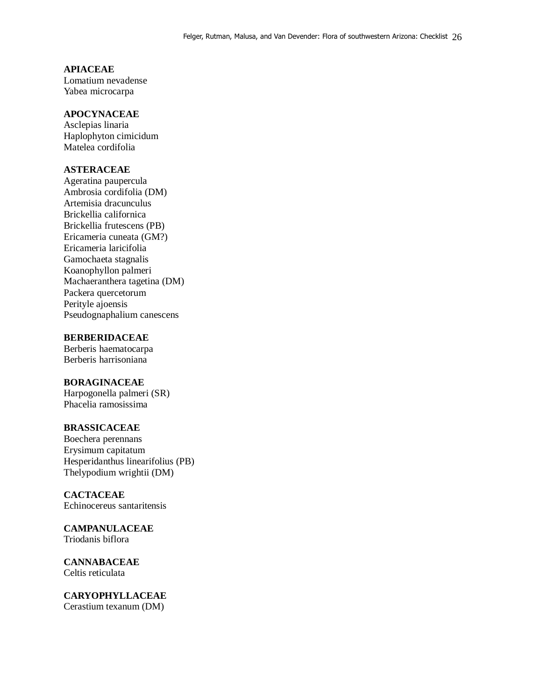# **APIACEAE**

Lomatium nevadense Yabea microcarpa

# **APOCYNACEAE**

Asclepias linaria Haplophyton cimicidum Matelea cordifolia

## **ASTERACEAE**

Ageratina paupercula Ambrosia cordifolia (DM) Artemisia dracunculus Brickellia californica Brickellia frutescens (PB) Ericameria cuneata (GM?) Ericameria laricifolia Gamochaeta stagnalis Koanophyllon palmeri Machaeranthera tagetina (DM) Packera quercetorum Perityle ajoensis Pseudognaphalium canescens

## **BERBERIDACEAE**

Berberis haematocarpa Berberis harrisoniana

## **BORAGINACEAE**

Harpogonella palmeri (SR) Phacelia ramosissima

## **BRASSICACEAE**

Boechera perennans Erysimum capitatum Hesperidanthus linearifolius (PB) Thelypodium wrightii (DM)

# **CACTACEAE**

Echinocereus santaritensis

### **CAMPANULACEAE**  Triodanis biflora

**CANNABACEAE**  Celtis reticulata

**CARYOPHYLLACEAE**  Cerastium texanum (DM)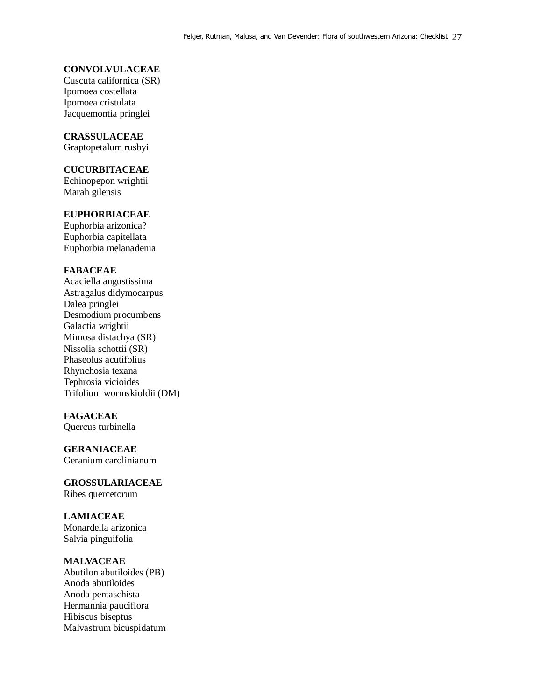## **CONVOLVULACEAE**

Cuscuta californica (SR) Ipomoea costellata Ipomoea cristulata Jacquemontia pringlei

## **CRASSULACEAE**

Graptopetalum rusbyi

## **CUCURBITACEAE**

Echinopepon wrightii Marah gilensis

### **EUPHORBIACEAE**

Euphorbia arizonica? Euphorbia capitellata Euphorbia melanadenia

## **FABACEAE**

Acaciella angustissima Astragalus didymocarpus Dalea pringlei Desmodium procumbens Galactia wrightii Mimosa distachya (SR) Nissolia schottii (SR) Phaseolus acutifolius Rhynchosia texana Tephrosia vicioides Trifolium wormskioldii (DM)

### **FAGACEAE**

Quercus turbinella

## **GERANIACEAE**

Geranium carolinianum

**GROSSULARIACEAE**  Ribes quercetorum

#### **LAMIACEAE**

Monardella arizonica Salvia pinguifolia

## **MALVACEAE**

Abutilon abutiloides (PB) Anoda abutiloides Anoda pentaschista Hermannia pauciflora Hibiscus biseptus Malvastrum bicuspidatum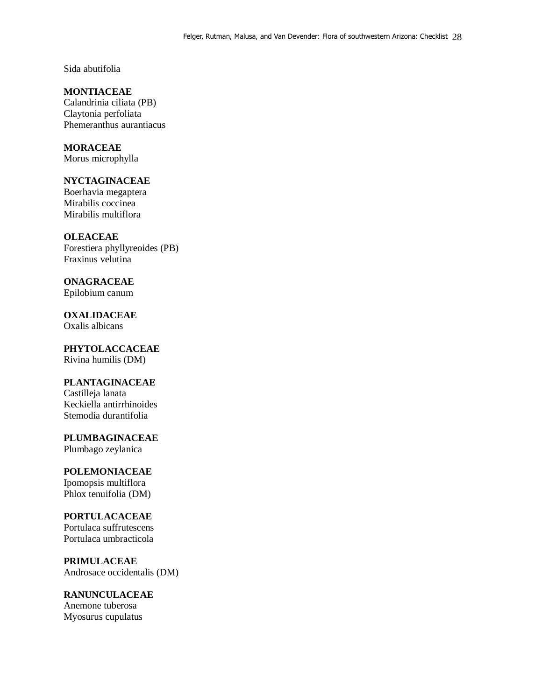Sida abutifolia

**MONTIACEAE** Calandrinia ciliata (PB) Claytonia perfoliata Phemeranthus aurantiacus

**MORACEAE**  Morus microphylla

## **NYCTAGINACEAE**

Boerhavia megaptera Mirabilis coccinea Mirabilis multiflora

**OLEACEAE** 

Forestiera phyllyreoides (PB) Fraxinus velutina

**ONAGRACEAE**  Epilobium canum

**OXALIDACEAE**  Oxalis albicans

**PHYTOLACCACEAE**  Rivina humilis (DM)

# **PLANTAGINACEAE**

Castilleja lanata Keckiella antirrhinoides Stemodia durantifolia

**PLUMBAGINACEAE**  Plumbago zeylanica

# **POLEMONIACEAE**

Ipomopsis multiflora Phlox tenuifolia (DM)

## **PORTULACACEAE**

Portulaca suffrutescens Portulaca umbracticola

**PRIMULACEAE**  Androsace occidentalis (DM)

**RANUNCULACEAE**  Anemone tuberosa Myosurus cupulatus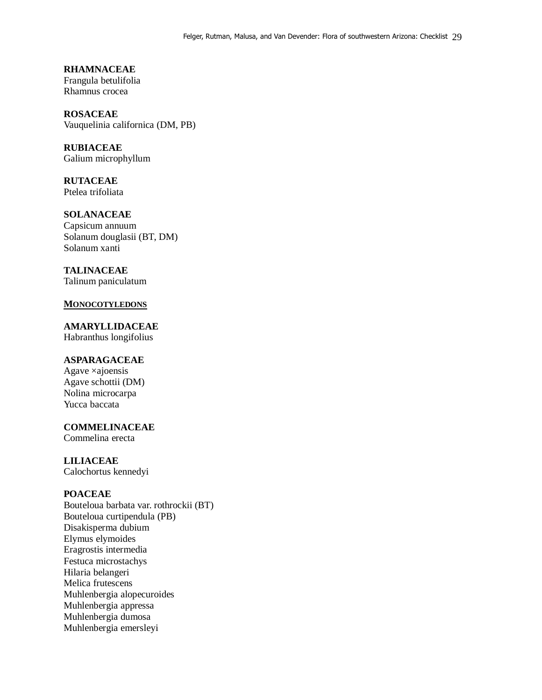**RHAMNACEAE**  Frangula betulifolia Rhamnus crocea

**ROSACEAE**  Vauquelinia californica (DM, PB)

**RUBIACEAE**  Galium microphyllum

**RUTACEAE**  Ptelea trifoliata

**SOLANACEAE**  Capsicum annuum Solanum douglasii (BT, DM) Solanum xanti

**TALINACEAE**  Talinum paniculatum

### **MONOCOTYLEDONS**

**AMARYLLIDACEAE** Habranthus longifolius

## **ASPARAGACEAE**

Agave ×ajoensis Agave schottii (DM) Nolina microcarpa Yucca baccata

**COMMELINACEAE** 

Commelina erecta

#### **LILIACEAE**

Calochortus kennedyi

## **POACEAE**

Bouteloua barbata var. rothrockii (BT) Bouteloua curtipendula (PB) Disakisperma dubium Elymus elymoides Eragrostis intermedia Festuca microstachys Hilaria belangeri Melica frutescens Muhlenbergia alopecuroides Muhlenbergia appressa Muhlenbergia dumosa Muhlenbergia emersleyi